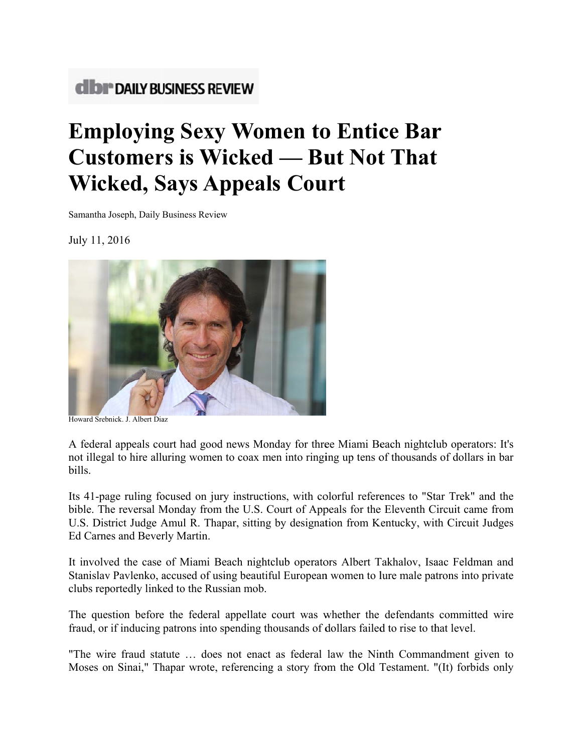## **CIDI<sup>®</sup> DAILY BUSINESS REVIEW**

## **Employing Sexy Women to Entice Bar Customers is Wicked — But Not That Wicked, Says Appeals Court**

Samantha Joseph, Daily Business Review

July 11, 2016



Howard Srebnick, J. Albert Diaz

A federal appeals court had good news Monday for three Miami Beach nightclub operators: It's not illegal to hire alluring women to coax men into ringing up tens of thousands of dollars in bar bills.

Its 41-page ruling focused on jury instructions, with colorful references to "Star Trek" and the bible. The reversal Monday from the U.S. Court of Appeals for the Eleventh Circuit came from U.S. District Judge Amul R. Thapar, sitting by designation from Kentucky, with Circuit Judges Ed Carnes and Beverly Martin.

It involved the case of Miami Beach nightclub operators Albert Takhalov, Isaac Feldman and Stanislav Pavlenko, accused of using beautiful European women to lure male patrons into private clubs reportedly linked to the Russian mob.

The question before the federal appellate court was whether the defendants committed wire fraud, or if inducing patrons into spending thousands of dollars failed to rise to that level.

"The wire fraud statute ... does not enact as federal law the Ninth Commandment given to Moses on Sinai," Thapar wrote, referencing a story from the Old Testament. "(It) forbids only